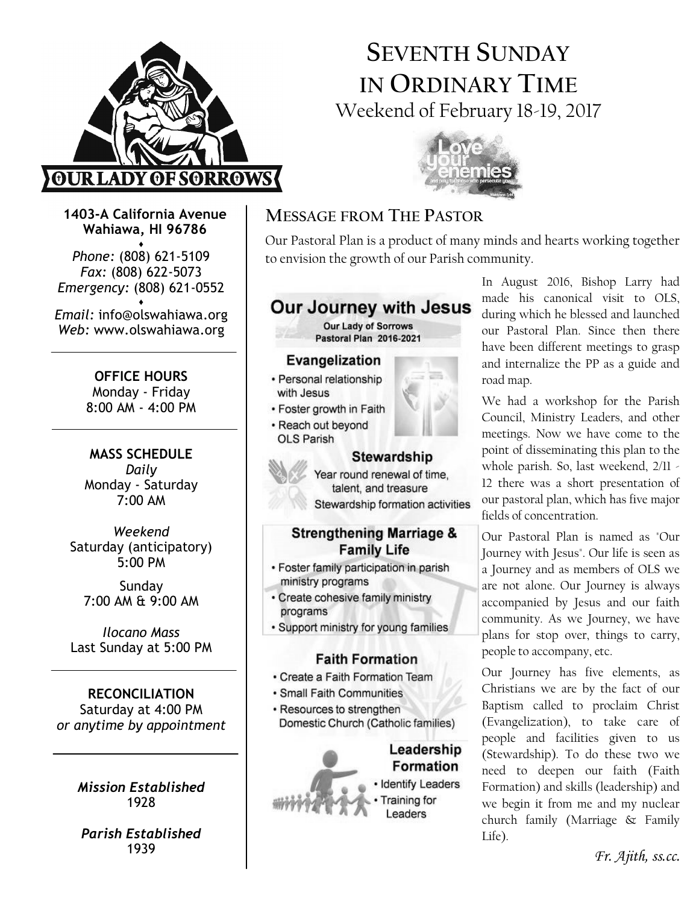

# SEVENTH SUNDAY IN ORDINARY TIME Weekend of February 18-19, 2017



1403-A California Avenue Wahiawa, HI 96786

♦ Phone: (808) 621-5109 Fax: (808) 622-5073 Emergency: (808) 621-0552

♦ Email: info@olswahiawa.org Web: www.olswahiawa.org

> OFFICE HOURS Monday - Friday 8:00 AM - 4:00 PM

MASS SCHEDULE Daily Monday - Saturday 7:00 AM

Weekend Saturday (anticipatory) 5:00 PM

Sunday 7:00 AM & 9:00 AM

Ilocano Mass Last Sunday at 5:00 PM

RECONCILIATION Saturday at 4:00 PM or anytime by appointment

> Mission Established 1928

Parish Established 1939

# MESSAGE FROM THE PASTOR

Our Pastoral Plan is a product of many minds and hearts working together to envision the growth of our Parish community.



#### **Faith Formation**

- Create a Faith Formation Team
- · Small Faith Communities
- Resources to strengthen Domestic Church (Catholic families)

#### Leadership **Formation**

**Identify Leaders** raining for Leaders

In August 2016, Bishop Larry had made his canonical visit to OLS, during which he blessed and launched our Pastoral Plan. Since then there have been different meetings to grasp and internalize the PP as a guide and road map.

We had a workshop for the Parish Council, Ministry Leaders, and other meetings. Now we have come to the point of disseminating this plan to the whole parish. So, last weekend,  $2/11$  -12 there was a short presentation of our pastoral plan, which has five major fields of concentration.

Our Pastoral Plan is named as "Our Journey with Jesus". Our life is seen as a Journey and as members of OLS we are not alone. Our Journey is always accompanied by Jesus and our faith community. As we Journey, we have plans for stop over, things to carry, people to accompany, etc.

Our Journey has five elements, as Christians we are by the fact of our Baptism called to proclaim Christ (Evangelization), to take care of people and facilities given to us (Stewardship). To do these two we need to deepen our faith (Faith Formation) and skills (leadership) and we begin it from me and my nuclear church family (Marriage & Family Life).

Fr. Ajith, ss.cc.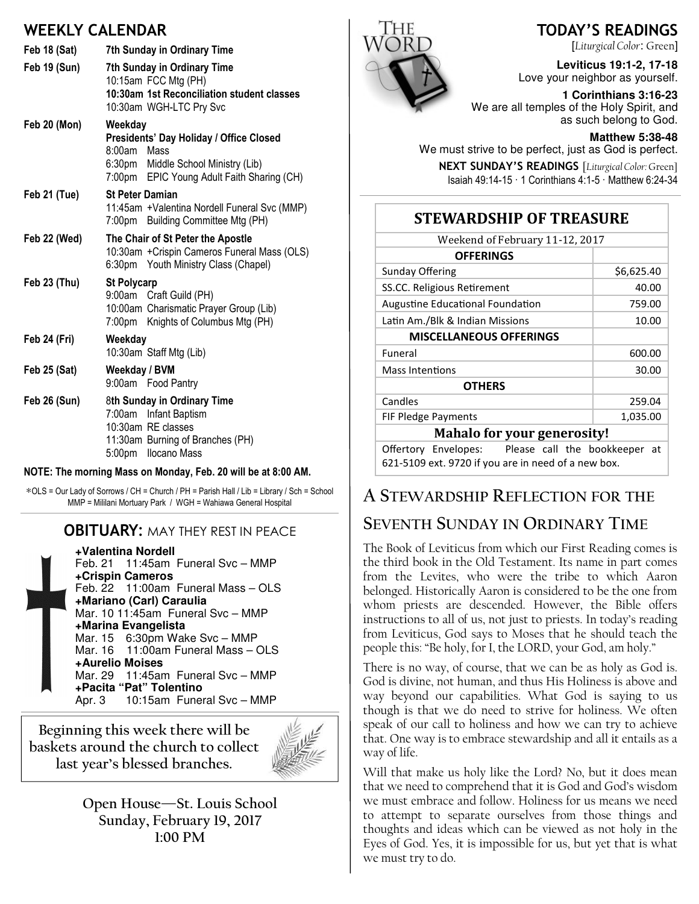# WEEKLY CALENDAR

| <b>Feb 18 (Sat)</b> | 7th Sunday in Ordinary Time                                                                                                                                  |
|---------------------|--------------------------------------------------------------------------------------------------------------------------------------------------------------|
| <b>Feb 19 (Sun)</b> | 7th Sunday in Ordinary Time<br>10:15am FCC Mtg (PH)<br>10:30am 1st Reconciliation student classes<br>10:30am WGH-LTC Pry Svc                                 |
| <b>Feb 20 (Mon)</b> | Weekday<br>Presidents' Day Holiday / Office Closed<br>$8:00$ am<br>Mass<br>6:30pm Middle School Ministry (Lib)<br>7:00pm EPIC Young Adult Faith Sharing (CH) |
| Feb 21 (Tue)        | <b>St Peter Damian</b><br>11:45am + Valentina Nordell Funeral Svc (MMP)<br>7:00pm Building Committee Mtg (PH)                                                |
| Feb 22 (Wed)        | The Chair of St Peter the Apostle<br>10:30am + Crispin Cameros Funeral Mass (OLS)<br>6:30pm Youth Ministry Class (Chapel)                                    |
| Feb 23 (Thu)        | <b>St Polycarp</b><br>9:00am Craft Guild (PH)<br>10:00am Charismatic Prayer Group (Lib)<br>7:00pm Knights of Columbus Mtg (PH)                               |
| Feb 24 (Fri)        | Weekday<br>10:30am Staff Mtg (Lib)                                                                                                                           |
| <b>Feb 25 (Sat)</b> | Weekday / BVM<br>9:00am Food Pantry                                                                                                                          |
| Feb 26 (Sun)        | 8th Sunday in Ordinary Time<br>Infant Baptism<br>7:00am<br>10:30am RE classes<br>11:30am Burning of Branches (PH)<br>5:00pm Ilocano Mass                     |

#### NOTE: The morning Mass on Monday, Feb. 20 will be at 8:00 AM.

∗OLS = Our Lady of Sorrows / CH = Church / PH = Parish Hall / Lib = Library / Sch = School MMP = Mililani Mortuary Park / WGH = Wahiawa General Hospital

#### **OBITUARY: MAY THEY REST IN PEACE**

**+Valentina Nordell** Feb. 21 11:45am Funeral Svc – MMP **+Crispin Cameros** Feb. 22 11:00am Funeral Mass – OLS **+Mariano (Carl) Caraulia** Mar. 10 11:45am Funeral Svc – MMP **+Marina Evangelista** Mar. 15 6:30pm Wake Svc – MMP Mar. 16 11:00am Funeral Mass – OLS **+Aurelio Moises** Mar. 29 11:45am Funeral Svc – MMP **+Pacita "Pat" Tolentino** Apr. 3 10:15am Funeral Svc – MMP

Beginning this week there will be baskets around the church to collect last year's blessed branches.



Open House—St. Louis School Sunday, February 19, 2017 1:00 PM



## TODAY'S READINGS

[Liturgical Color: Green]

**Leviticus 19:1-2, 17-18**  Love your neighbor as yourself.

**1 Corinthians 3:16-23** We are all temples of the Holy Spirit, and as such belong to God.

**Matthew 5:38-48**  We must strive to be perfect, just as God is perfect.

NEXT SUNDAY'S READINGS [Liturgical Color: Green] Isaiah 49:14-15 · 1 Corinthians 4:1-5 · Matthew 6:24-34

### STEWARDSHIP OF TREASURE

| Weekend of February 11-12, 2017                     |            |  |
|-----------------------------------------------------|------------|--|
| <b>OFFERINGS</b>                                    |            |  |
| Sunday Offering                                     | \$6,625.40 |  |
| SS.CC. Religious Retirement                         | 40.00      |  |
| <b>Augustine Educational Foundation</b>             | 759.00     |  |
| Latin Am./Blk & Indian Missions                     | 10.00      |  |
| <b>MISCELLANEOUS OFFERINGS</b>                      |            |  |
| Funeral                                             | 600.00     |  |
| <b>Mass Intentions</b>                              | 30.00      |  |
| <b>OTHERS</b>                                       |            |  |
| Candles                                             | 259.04     |  |
| <b>FIF Pledge Payments</b>                          | 1,035.00   |  |
| <b>Mahalo for your generosity!</b>                  |            |  |
| Please call the bookkeeper<br>Offertory Envelopes:  | at         |  |
| 621-5109 ext. 9720 if you are in need of a new box. |            |  |

A STEWARDSHIP REFLECTION FOR THE

# SEVENTH SUNDAY IN ORDINARY TIME

The Book of Leviticus from which our First Reading comes is the third book in the Old Testament. Its name in part comes from the Levites, who were the tribe to which Aaron belonged. Historically Aaron is considered to be the one from whom priests are descended. However, the Bible offers instructions to all of us, not just to priests. In today's reading from Leviticus, God says to Moses that he should teach the people this: "Be holy, for I, the LORD, your God, am holy."

There is no way, of course, that we can be as holy as God is. God is divine, not human, and thus His Holiness is above and way beyond our capabilities. What God is saying to us though is that we do need to strive for holiness. We often speak of our call to holiness and how we can try to achieve that. One way is to embrace stewardship and all it entails as a way of life.

Will that make us holy like the Lord? No, but it does mean that we need to comprehend that it is God and God's wisdom we must embrace and follow. Holiness for us means we need to attempt to separate ourselves from those things and thoughts and ideas which can be viewed as not holy in the Eyes of God. Yes, it is impossible for us, but yet that is what we must try to do.